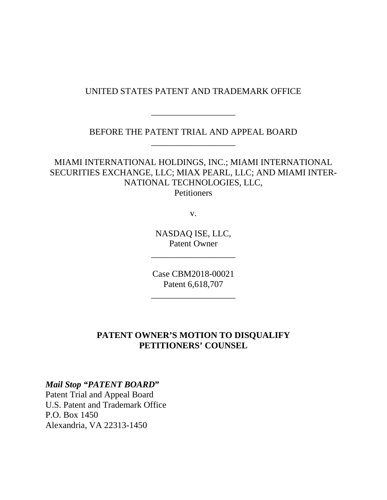### UNITED STATES PATENT AND TRADEMARK OFFICE

BEFORE THE PATENT TRIAL AND APPEAL BOARD \_\_\_\_\_\_\_\_\_\_\_\_\_\_\_\_\_\_\_

\_\_\_\_\_\_\_\_\_\_\_\_\_\_\_\_\_\_\_

MIAMI INTERNATIONAL HOLDINGS, INC.; MIAMI INTERNATIONAL SECURITIES EXCHANGE, LLC; MIAX PEARL, LLC; AND MIAMI INTER-NATIONAL TECHNOLOGIES, LLC, **Petitioners** 

v.

NASDAQ ISE, LLC, Patent Owner

\_\_\_\_\_\_\_\_\_\_\_\_\_\_\_\_\_\_\_

Case CBM2018-00021 Patent 6,618,707

\_\_\_\_\_\_\_\_\_\_\_\_\_\_\_\_\_\_\_

### **PATENT OWNER'S MOTION TO DISQUALIFY PETITIONERS' COUNSEL**

#### *Mail Stop "PATENT BOARD***"**

Patent Trial and Appeal Board U.S. Patent and Trademark Office P.O. Box 1450 Alexandria, VA 22313-1450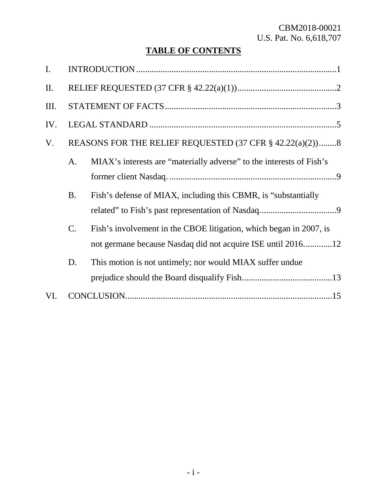# **TABLE OF CONTENTS**

| $\mathbf{I}$ . |                                                          |                                                                                                                                   |
|----------------|----------------------------------------------------------|-----------------------------------------------------------------------------------------------------------------------------------|
| II.            |                                                          |                                                                                                                                   |
| Ш.             |                                                          |                                                                                                                                   |
| IV.            |                                                          |                                                                                                                                   |
| V.             | REASONS FOR THE RELIEF REQUESTED (37 CFR § 42.22(a)(2))8 |                                                                                                                                   |
|                | A.                                                       | MIAX's interests are "materially adverse" to the interests of Fish's                                                              |
|                | <b>B.</b>                                                | Fish's defense of MIAX, including this CBMR, is "substantially                                                                    |
|                | $C$ .                                                    | Fish's involvement in the CBOE litigation, which began in 2007, is<br>not germane because Nasdaq did not acquire ISE until 201612 |
|                | D.                                                       | This motion is not untimely; nor would MIAX suffer undue                                                                          |
| VI.            |                                                          |                                                                                                                                   |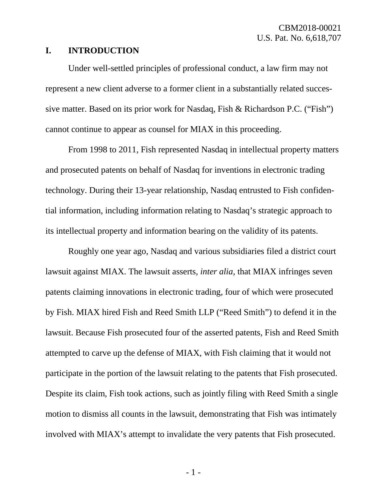#### **I. INTRODUCTION**

Under well-settled principles of professional conduct, a law firm may not represent a new client adverse to a former client in a substantially related successive matter. Based on its prior work for Nasdaq, Fish & Richardson P.C. ("Fish") cannot continue to appear as counsel for MIAX in this proceeding.

From 1998 to 2011, Fish represented Nasdaq in intellectual property matters and prosecuted patents on behalf of Nasdaq for inventions in electronic trading technology. During their 13-year relationship, Nasdaq entrusted to Fish confidential information, including information relating to Nasdaq's strategic approach to its intellectual property and information bearing on the validity of its patents.

Roughly one year ago, Nasdaq and various subsidiaries filed a district court lawsuit against MIAX. The lawsuit asserts, *inter alia*, that MIAX infringes seven patents claiming innovations in electronic trading, four of which were prosecuted by Fish. MIAX hired Fish and Reed Smith LLP ("Reed Smith") to defend it in the lawsuit. Because Fish prosecuted four of the asserted patents, Fish and Reed Smith attempted to carve up the defense of MIAX, with Fish claiming that it would not participate in the portion of the lawsuit relating to the patents that Fish prosecuted. Despite its claim, Fish took actions, such as jointly filing with Reed Smith a single motion to dismiss all counts in the lawsuit, demonstrating that Fish was intimately involved with MIAX's attempt to invalidate the very patents that Fish prosecuted.

- 1 -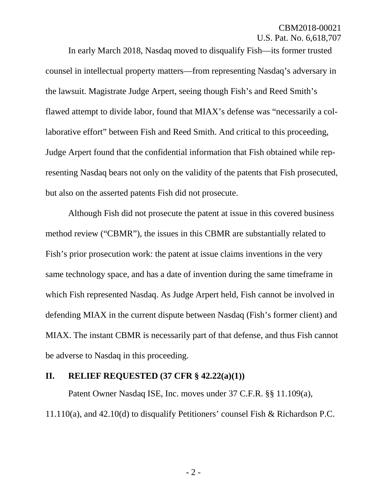In early March 2018, Nasdaq moved to disqualify Fish—its former trusted counsel in intellectual property matters—from representing Nasdaq's adversary in the lawsuit. Magistrate Judge Arpert, seeing though Fish's and Reed Smith's flawed attempt to divide labor, found that MIAX's defense was "necessarily a collaborative effort" between Fish and Reed Smith. And critical to this proceeding, Judge Arpert found that the confidential information that Fish obtained while representing Nasdaq bears not only on the validity of the patents that Fish prosecuted, but also on the asserted patents Fish did not prosecute.

Although Fish did not prosecute the patent at issue in this covered business method review ("CBMR"), the issues in this CBMR are substantially related to Fish's prior prosecution work: the patent at issue claims inventions in the very same technology space, and has a date of invention during the same timeframe in which Fish represented Nasdaq. As Judge Arpert held, Fish cannot be involved in defending MIAX in the current dispute between Nasdaq (Fish's former client) and MIAX. The instant CBMR is necessarily part of that defense, and thus Fish cannot be adverse to Nasdaq in this proceeding.

#### **II. RELIEF REQUESTED (37 CFR § 42.22(a)(1))**

Patent Owner Nasdaq ISE, Inc. moves under 37 C.F.R. §§ 11.109(a), 11.110(a), and 42.10(d) to disqualify Petitioners' counsel Fish & Richardson P.C.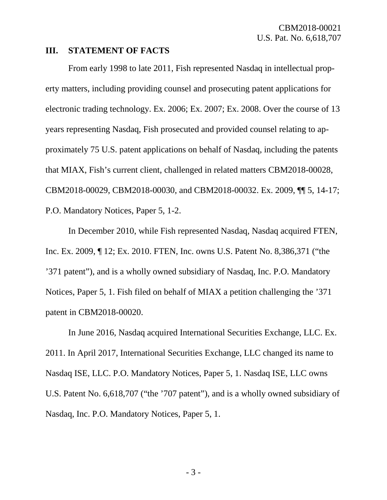#### **III. STATEMENT OF FACTS**

From early 1998 to late 2011, Fish represented Nasdaq in intellectual property matters, including providing counsel and prosecuting patent applications for electronic trading technology. Ex. 2006; Ex. 2007; Ex. 2008. Over the course of 13 years representing Nasdaq, Fish prosecuted and provided counsel relating to approximately 75 U.S. patent applications on behalf of Nasdaq, including the patents that MIAX, Fish's current client, challenged in related matters CBM2018-00028, CBM2018-00029, CBM2018-00030, and CBM2018-00032. Ex. 2009, ¶¶ 5, 14-17; P.O. Mandatory Notices, Paper 5, 1-2.

In December 2010, while Fish represented Nasdaq, Nasdaq acquired FTEN, Inc. Ex. 2009, ¶ 12; Ex. 2010. FTEN, Inc. owns U.S. Patent No. 8,386,371 ("the '371 patent"), and is a wholly owned subsidiary of Nasdaq, Inc. P.O. Mandatory Notices, Paper 5, 1. Fish filed on behalf of MIAX a petition challenging the '371 patent in CBM2018-00020.

In June 2016, Nasdaq acquired International Securities Exchange, LLC. Ex. 2011. In April 2017, International Securities Exchange, LLC changed its name to Nasdaq ISE, LLC. P.O. Mandatory Notices, Paper 5, 1. Nasdaq ISE, LLC owns U.S. Patent No. 6,618,707 ("the '707 patent"), and is a wholly owned subsidiary of Nasdaq, Inc. P.O. Mandatory Notices, Paper 5, 1.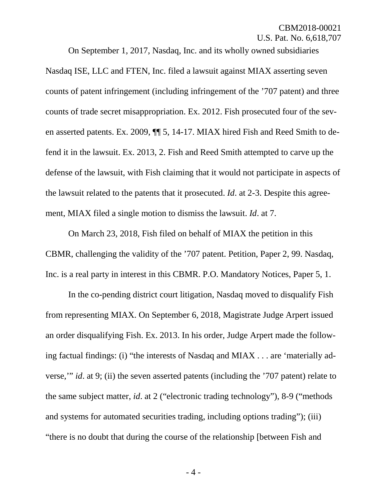On September 1, 2017, Nasdaq, Inc. and its wholly owned subsidiaries Nasdaq ISE, LLC and FTEN, Inc. filed a lawsuit against MIAX asserting seven counts of patent infringement (including infringement of the '707 patent) and three counts of trade secret misappropriation. Ex. 2012. Fish prosecuted four of the seven asserted patents. Ex. 2009, ¶¶ 5, 14-17. MIAX hired Fish and Reed Smith to defend it in the lawsuit. Ex. 2013, 2. Fish and Reed Smith attempted to carve up the defense of the lawsuit, with Fish claiming that it would not participate in aspects of the lawsuit related to the patents that it prosecuted. *Id*. at 2-3. Despite this agreement, MIAX filed a single motion to dismiss the lawsuit. *Id*. at 7.

On March 23, 2018, Fish filed on behalf of MIAX the petition in this CBMR, challenging the validity of the '707 patent. Petition, Paper 2, 99. Nasdaq, Inc. is a real party in interest in this CBMR. P.O. Mandatory Notices, Paper 5, 1.

In the co-pending district court litigation, Nasdaq moved to disqualify Fish from representing MIAX. On September 6, 2018, Magistrate Judge Arpert issued an order disqualifying Fish. Ex. 2013. In his order, Judge Arpert made the following factual findings: (i) "the interests of Nasdaq and MIAX . . . are 'materially adverse,'" *id*. at 9; (ii) the seven asserted patents (including the '707 patent) relate to the same subject matter, *id*. at 2 ("electronic trading technology"), 8-9 ("methods and systems for automated securities trading, including options trading"); (iii) "there is no doubt that during the course of the relationship [between Fish and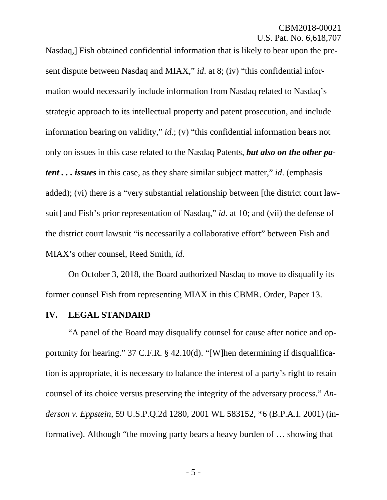Nasdaq,] Fish obtained confidential information that is likely to bear upon the present dispute between Nasdaq and MIAX," *id*. at 8; (iv) "this confidential information would necessarily include information from Nasdaq related to Nasdaq's strategic approach to its intellectual property and patent prosecution, and include information bearing on validity," *id*.; (v) "this confidential information bears not only on issues in this case related to the Nasdaq Patents, *but also on the other patent . . . issues* in this case, as they share similar subject matter," *id*. (emphasis added); (vi) there is a "very substantial relationship between [the district court lawsuit] and Fish's prior representation of Nasdaq," *id*. at 10; and (vii) the defense of the district court lawsuit "is necessarily a collaborative effort" between Fish and MIAX's other counsel, Reed Smith, *id*.

On October 3, 2018, the Board authorized Nasdaq to move to disqualify its former counsel Fish from representing MIAX in this CBMR. Order, Paper 13.

#### **IV. LEGAL STANDARD**

"A panel of the Board may disqualify counsel for cause after notice and opportunity for hearing." 37 C.F.R. § 42.10(d). "[W]hen determining if disqualification is appropriate, it is necessary to balance the interest of a party's right to retain counsel of its choice versus preserving the integrity of the adversary process." *Anderson v. Eppstein*, 59 U.S.P.Q.2d 1280, 2001 WL 583152, \*6 (B.P.A.I. 2001) (informative). Although "the moving party bears a heavy burden of … showing that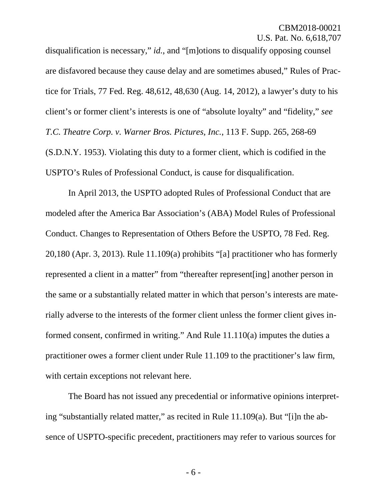disqualification is necessary," *id.*, and "[m]otions to disqualify opposing counsel are disfavored because they cause delay and are sometimes abused," Rules of Practice for Trials, 77 Fed. Reg. 48,612, 48,630 (Aug. 14, 2012), a lawyer's duty to his client's or former client's interests is one of "absolute loyalty" and "fidelity," *see T.C. Theatre Corp. v. Warner Bros. Pictures, Inc.*, 113 F. Supp. 265, 268-69 (S.D.N.Y. 1953). Violating this duty to a former client, which is codified in the USPTO's Rules of Professional Conduct, is cause for disqualification.

In April 2013, the USPTO adopted Rules of Professional Conduct that are modeled after the America Bar Association's (ABA) Model Rules of Professional Conduct. Changes to Representation of Others Before the USPTO, 78 Fed. Reg. 20,180 (Apr. 3, 2013). Rule 11.109(a) prohibits "[a] practitioner who has formerly represented a client in a matter" from "thereafter represent[ing] another person in the same or a substantially related matter in which that person's interests are materially adverse to the interests of the former client unless the former client gives informed consent, confirmed in writing." And Rule 11.110(a) imputes the duties a practitioner owes a former client under Rule 11.109 to the practitioner's law firm, with certain exceptions not relevant here.

The Board has not issued any precedential or informative opinions interpreting "substantially related matter," as recited in Rule 11.109(a). But "[i]n the absence of USPTO-specific precedent, practitioners may refer to various sources for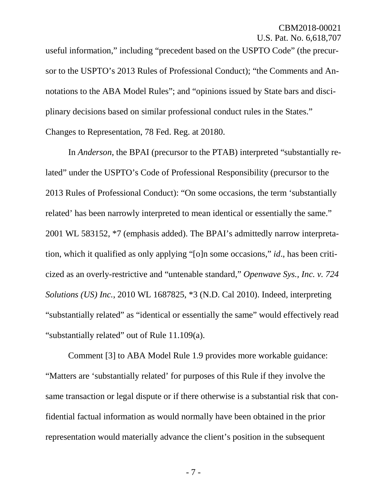useful information," including "precedent based on the USPTO Code" (the precursor to the USPTO's 2013 Rules of Professional Conduct); "the Comments and Annotations to the ABA Model Rules"; and "opinions issued by State bars and disciplinary decisions based on similar professional conduct rules in the States." Changes to Representation, 78 Fed. Reg. at 20180.

In *Anderson*, the BPAI (precursor to the PTAB) interpreted "substantially related" under the USPTO's Code of Professional Responsibility (precursor to the 2013 Rules of Professional Conduct): "On some occasions, the term 'substantially related' has been narrowly interpreted to mean identical or essentially the same." 2001 WL 583152, \*7 (emphasis added). The BPAI's admittedly narrow interpretation, which it qualified as only applying "[o]n some occasions," *id*., has been criticized as an overly-restrictive and "untenable standard," *Openwave Sys., Inc. v. 724 Solutions (US) Inc.*, 2010 WL 1687825, \*3 (N.D. Cal 2010). Indeed, interpreting "substantially related" as "identical or essentially the same" would effectively read "substantially related" out of Rule 11.109(a).

Comment [3] to ABA Model Rule 1.9 provides more workable guidance: "Matters are 'substantially related' for purposes of this Rule if they involve the same transaction or legal dispute or if there otherwise is a substantial risk that confidential factual information as would normally have been obtained in the prior representation would materially advance the client's position in the subsequent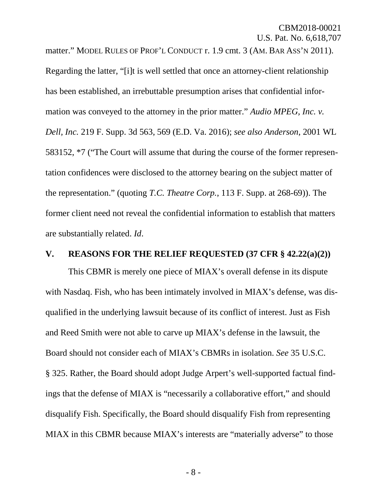matter." MODEL RULES OF PROF'L CONDUCT r. 1.9 cmt. 3 (AM. BAR ASS'N 2011). Regarding the latter, "[i]t is well settled that once an attorney-client relationship has been established, an irrebuttable presumption arises that confidential information was conveyed to the attorney in the prior matter." *Audio MPEG, Inc. v. Dell, Inc.* 219 F. Supp. 3d 563, 569 (E.D. Va. 2016); *see also Anderson*, 2001 WL 583152, \*7 ("The Court will assume that during the course of the former representation confidences were disclosed to the attorney bearing on the subject matter of the representation." (quoting *T.C. Theatre Corp.*, 113 F. Supp. at 268-69)). The former client need not reveal the confidential information to establish that matters are substantially related. *Id*.

#### **V. REASONS FOR THE RELIEF REQUESTED (37 CFR § 42.22(a)(2))**

This CBMR is merely one piece of MIAX's overall defense in its dispute with Nasdaq. Fish, who has been intimately involved in MIAX's defense, was disqualified in the underlying lawsuit because of its conflict of interest. Just as Fish and Reed Smith were not able to carve up MIAX's defense in the lawsuit, the Board should not consider each of MIAX's CBMRs in isolation. *See* 35 U.S.C. § 325. Rather, the Board should adopt Judge Arpert's well-supported factual findings that the defense of MIAX is "necessarily a collaborative effort," and should disqualify Fish. Specifically, the Board should disqualify Fish from representing MIAX in this CBMR because MIAX's interests are "materially adverse" to those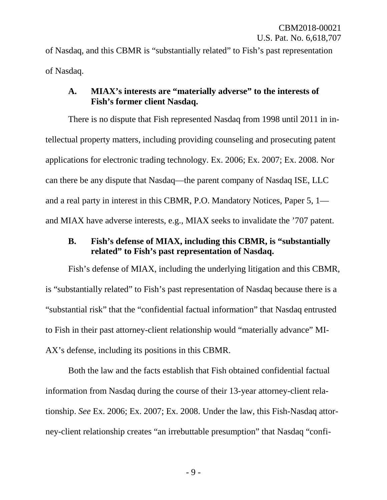of Nasdaq, and this CBMR is "substantially related" to Fish's past representation of Nasdaq.

# **A. MIAX's interests are "materially adverse" to the interests of Fish's former client Nasdaq.**

There is no dispute that Fish represented Nasdaq from 1998 until 2011 in intellectual property matters, including providing counseling and prosecuting patent applications for electronic trading technology. Ex. 2006; Ex. 2007; Ex. 2008. Nor can there be any dispute that Nasdaq—the parent company of Nasdaq ISE, LLC and a real party in interest in this CBMR, P.O. Mandatory Notices, Paper 5, 1 and MIAX have adverse interests, e.g., MIAX seeks to invalidate the '707 patent.

### **B. Fish's defense of MIAX, including this CBMR, is "substantially related" to Fish's past representation of Nasdaq.**

Fish's defense of MIAX, including the underlying litigation and this CBMR, is "substantially related" to Fish's past representation of Nasdaq because there is a "substantial risk" that the "confidential factual information" that Nasdaq entrusted to Fish in their past attorney-client relationship would "materially advance" MI-AX's defense, including its positions in this CBMR.

Both the law and the facts establish that Fish obtained confidential factual information from Nasdaq during the course of their 13-year attorney-client relationship. *See* Ex. 2006; Ex. 2007; Ex. 2008. Under the law, this Fish-Nasdaq attorney-client relationship creates "an irrebuttable presumption" that Nasdaq "confi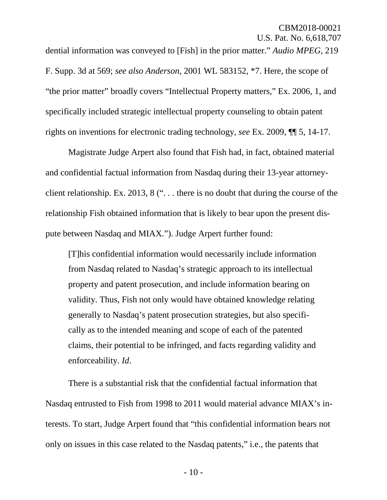dential information was conveyed to [Fish] in the prior matter." *Audio MPEG*, 219 F. Supp. 3d at 569; *see also Anderson*, 2001 WL 583152, \*7. Here, the scope of "the prior matter" broadly covers "Intellectual Property matters," Ex. 2006, 1, and specifically included strategic intellectual property counseling to obtain patent rights on inventions for electronic trading technology, *see* Ex. 2009, ¶¶ 5, 14-17.

Magistrate Judge Arpert also found that Fish had, in fact, obtained material and confidential factual information from Nasdaq during their 13-year attorneyclient relationship. Ex. 2013, 8 (". . . there is no doubt that during the course of the relationship Fish obtained information that is likely to bear upon the present dispute between Nasdaq and MIAX."). Judge Arpert further found:

[T]his confidential information would necessarily include information from Nasdaq related to Nasdaq's strategic approach to its intellectual property and patent prosecution, and include information bearing on validity. Thus, Fish not only would have obtained knowledge relating generally to Nasdaq's patent prosecution strategies, but also specifically as to the intended meaning and scope of each of the patented claims, their potential to be infringed, and facts regarding validity and enforceability. *Id*.

There is a substantial risk that the confidential factual information that Nasdaq entrusted to Fish from 1998 to 2011 would material advance MIAX's interests. To start, Judge Arpert found that "this confidential information bears not only on issues in this case related to the Nasdaq patents," i.e., the patents that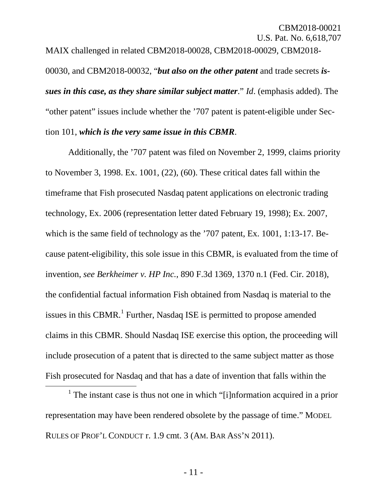MAIX challenged in related CBM2018-00028, CBM2018-00029, CBM2018- 00030, and CBM2018-00032, "*but also on the other patent* and trade secrets *issues in this case, as they share similar subject matter*." *Id*. (emphasis added). The "other patent" issues include whether the '707 patent is patent-eligible under Section 101, *which is the very same issue in this CBMR*.

Additionally, the '707 patent was filed on November 2, 1999, claims priority to November 3, 1998. Ex. 1001, (22), (60). These critical dates fall within the timeframe that Fish prosecuted Nasdaq patent applications on electronic trading technology, Ex. 2006 (representation letter dated February 19, 1998); Ex. 2007, which is the same field of technology as the '707 patent, Ex. 1001, 1:13-17. Because patent-eligibility, this sole issue in this CBMR, is evaluated from the time of invention, *see Berkheimer v. HP Inc.*, 890 F.3d 1369, 1370 n.1 (Fed. Cir. 2018), the confidential factual information Fish obtained from Nasdaq is material to the issues in this CBMR.<sup>[1](#page-12-0)</sup> Further, Nasdaq ISE is permitted to propose amended claims in this CBMR. Should Nasdaq ISE exercise this option, the proceeding will include prosecution of a patent that is directed to the same subject matter as those Fish prosecuted for Nasdaq and that has a date of invention that falls within the

<span id="page-12-0"></span><sup>&</sup>lt;sup>1</sup> The instant case is thus not one in which "[i]nformation acquired in a prior representation may have been rendered obsolete by the passage of time." MODEL RULES OF PROF'L CONDUCT r. 1.9 cmt. 3 (AM. BAR ASS'N 2011).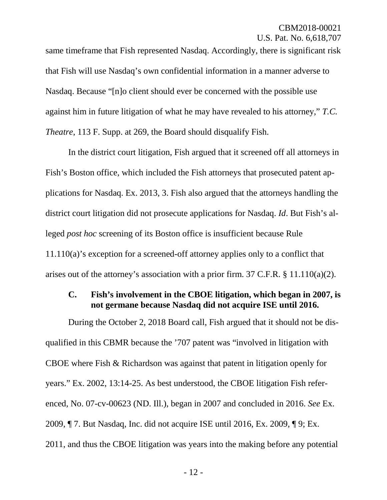same timeframe that Fish represented Nasdaq. Accordingly, there is significant risk that Fish will use Nasdaq's own confidential information in a manner adverse to Nasdaq. Because "[n]o client should ever be concerned with the possible use against him in future litigation of what he may have revealed to his attorney," *T.C. Theatre*, 113 F. Supp. at 269, the Board should disqualify Fish.

In the district court litigation, Fish argued that it screened off all attorneys in Fish's Boston office, which included the Fish attorneys that prosecuted patent applications for Nasdaq. Ex. 2013, 3. Fish also argued that the attorneys handling the district court litigation did not prosecute applications for Nasdaq. *Id*. But Fish's alleged *post hoc* screening of its Boston office is insufficient because Rule 11.110(a)'s exception for a screened-off attorney applies only to a conflict that arises out of the attorney's association with a prior firm. 37 C.F.R. § 11.110(a)(2).

### **C. Fish's involvement in the CBOE litigation, which began in 2007, is not germane because Nasdaq did not acquire ISE until 2016.**

During the October 2, 2018 Board call, Fish argued that it should not be disqualified in this CBMR because the '707 patent was "involved in litigation with CBOE where Fish & Richardson was against that patent in litigation openly for years." Ex. 2002, 13:14-25. As best understood, the CBOE litigation Fish referenced, No. 07-cv-00623 (ND. Ill.), began in 2007 and concluded in 2016. *See* Ex. 2009, ¶ 7. But Nasdaq, Inc. did not acquire ISE until 2016, Ex. 2009, ¶ 9; Ex. 2011, and thus the CBOE litigation was years into the making before any potential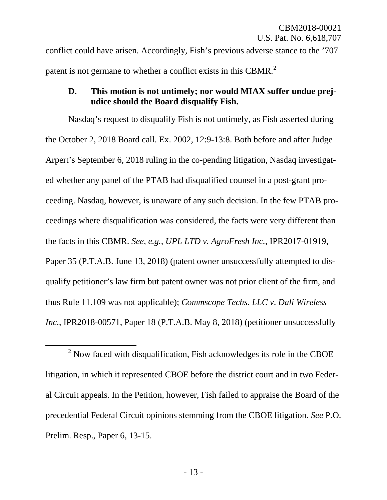conflict could have arisen. Accordingly, Fish's previous adverse stance to the '707 patent is not germane to whether a conflict exists in this CBMR.<sup>[2](#page-14-0)</sup>

# **D. This motion is not untimely; nor would MIAX suffer undue prejudice should the Board disqualify Fish.**

Nasdaq's request to disqualify Fish is not untimely, as Fish asserted during the October 2, 2018 Board call. Ex. 2002, 12:9-13:8. Both before and after Judge Arpert's September 6, 2018 ruling in the co-pending litigation, Nasdaq investigated whether any panel of the PTAB had disqualified counsel in a post-grant proceeding. Nasdaq, however, is unaware of any such decision. In the few PTAB proceedings where disqualification was considered, the facts were very different than the facts in this CBMR. *See, e.g., UPL LTD v. AgroFresh Inc.*, IPR2017-01919, Paper 35 (P.T.A.B. June 13, 2018) (patent owner unsuccessfully attempted to disqualify petitioner's law firm but patent owner was not prior client of the firm, and thus Rule 11.109 was not applicable); *Commscope Techs. LLC v*. *Dali Wireless Inc.*, IPR2018-00571, Paper 18 (P.T.A.B. May 8, 2018) (petitioner unsuccessfully

<span id="page-14-0"></span> $2$  Now faced with disqualification, Fish acknowledges its role in the CBOE litigation, in which it represented CBOE before the district court and in two Federal Circuit appeals. In the Petition, however, Fish failed to appraise the Board of the precedential Federal Circuit opinions stemming from the CBOE litigation. *See* P.O. Prelim. Resp., Paper 6, 13-15.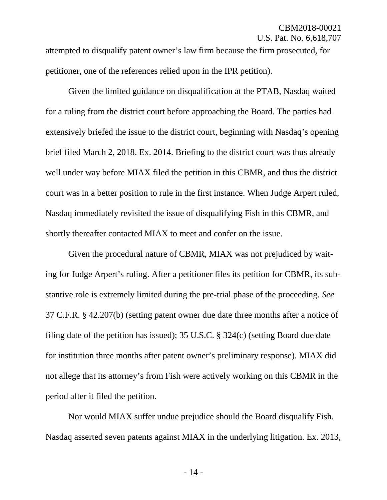attempted to disqualify patent owner's law firm because the firm prosecuted, for petitioner, one of the references relied upon in the IPR petition).

Given the limited guidance on disqualification at the PTAB, Nasdaq waited for a ruling from the district court before approaching the Board. The parties had extensively briefed the issue to the district court, beginning with Nasdaq's opening brief filed March 2, 2018. Ex. 2014. Briefing to the district court was thus already well under way before MIAX filed the petition in this CBMR, and thus the district court was in a better position to rule in the first instance. When Judge Arpert ruled, Nasdaq immediately revisited the issue of disqualifying Fish in this CBMR, and shortly thereafter contacted MIAX to meet and confer on the issue.

Given the procedural nature of CBMR, MIAX was not prejudiced by waiting for Judge Arpert's ruling. After a petitioner files its petition for CBMR, its substantive role is extremely limited during the pre-trial phase of the proceeding. *See*  37 C.F.R. § 42.207(b) (setting patent owner due date three months after a notice of filing date of the petition has issued); 35 U.S.C. § 324(c) (setting Board due date for institution three months after patent owner's preliminary response). MIAX did not allege that its attorney's from Fish were actively working on this CBMR in the period after it filed the petition.

Nor would MIAX suffer undue prejudice should the Board disqualify Fish. Nasdaq asserted seven patents against MIAX in the underlying litigation. Ex. 2013,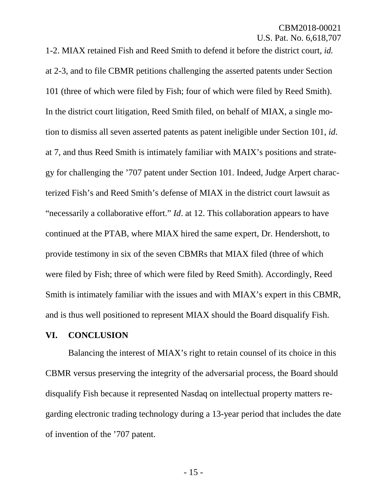1-2. MIAX retained Fish and Reed Smith to defend it before the district court, *id.*  at 2-3, and to file CBMR petitions challenging the asserted patents under Section 101 (three of which were filed by Fish; four of which were filed by Reed Smith). In the district court litigation, Reed Smith filed, on behalf of MIAX, a single motion to dismiss all seven asserted patents as patent ineligible under Section 101, *id*. at 7, and thus Reed Smith is intimately familiar with MAIX's positions and strategy for challenging the '707 patent under Section 101. Indeed, Judge Arpert characterized Fish's and Reed Smith's defense of MIAX in the district court lawsuit as "necessarily a collaborative effort." *Id*. at 12. This collaboration appears to have continued at the PTAB, where MIAX hired the same expert, Dr. Hendershott, to provide testimony in six of the seven CBMRs that MIAX filed (three of which were filed by Fish; three of which were filed by Reed Smith). Accordingly, Reed Smith is intimately familiar with the issues and with MIAX's expert in this CBMR, and is thus well positioned to represent MIAX should the Board disqualify Fish.

#### **VI. CONCLUSION**

Balancing the interest of MIAX's right to retain counsel of its choice in this CBMR versus preserving the integrity of the adversarial process, the Board should disqualify Fish because it represented Nasdaq on intellectual property matters regarding electronic trading technology during a 13-year period that includes the date of invention of the '707 patent.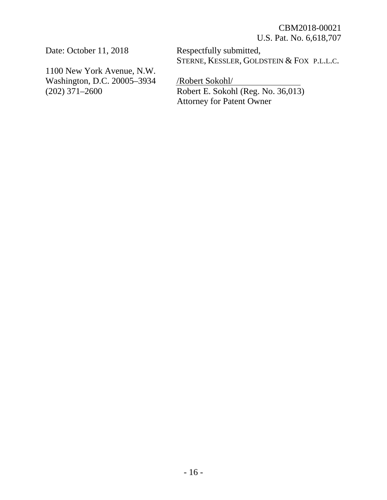Date: October 11, 2018

1100 New York Avenue, N.W. Washington, D.C. 20005–3934 (202) 371–2600

Respectfully submitted, STERNE, KESSLER, GOLDSTEIN & FOX P.L.L.C.

/Robert Sokohl/ Robert E. Sokohl (Reg. No. 36,013) Attorney for Patent Owner